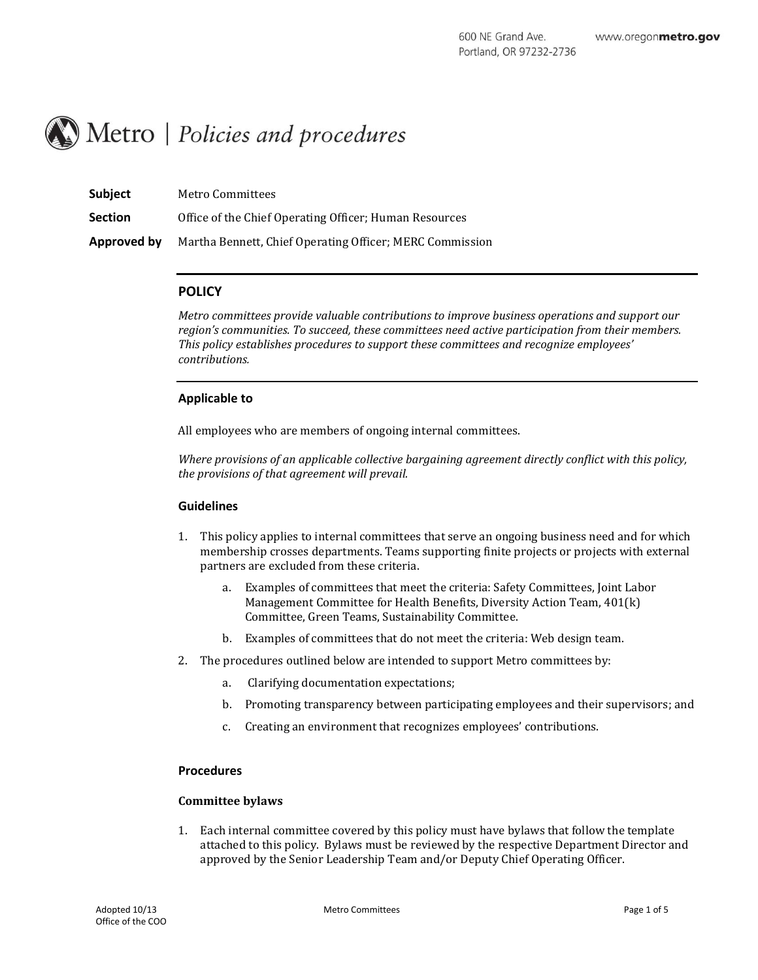

| <b>Subject</b> | Metro Committees                                         |
|----------------|----------------------------------------------------------|
| <b>Section</b> | Office of the Chief Operating Officer; Human Resources   |
| Approved by    | Martha Bennett, Chief Operating Officer; MERC Commission |

#### **POLICY**

*Metro committees provide valuable contributions to improve business operations and support our region's communities. To succeed, these committees need active participation from their members. This policy establishes procedures to support these committees and recognize employees' contributions.*

#### **Applicable to**

All employees who are members of ongoing internal committees.

*Where provisions of an applicable collective bargaining agreement directly conflict with this policy, the provisions of that agreement will prevail.*

#### **Guidelines**

- 1. This policy applies to internal committees that serve an ongoing business need and for which membership crosses departments. Teams supporting finite projects or projects with external partners are excluded from these criteria.
	- a. Examples of committees that meet the criteria: Safety Committees, Joint Labor Management Committee for Health Benefits, Diversity Action Team, 401(k) Committee, Green Teams, Sustainability Committee.
	- b. Examples of committees that do not meet the criteria: Web design team.
- 2. The procedures outlined below are intended to support Metro committees by:
	- a. Clarifying documentation expectations;
	- b. Promoting transparency between participating employees and their supervisors; and
	- c. Creating an environment that recognizes employees' contributions.

#### **Procedures**

#### **Committee bylaws**

1. Each internal committee covered by this policy must have bylaws that follow the template attached to this policy. Bylaws must be reviewed by the respective Department Director and approved by the Senior Leadership Team and/or Deputy Chief Operating Officer.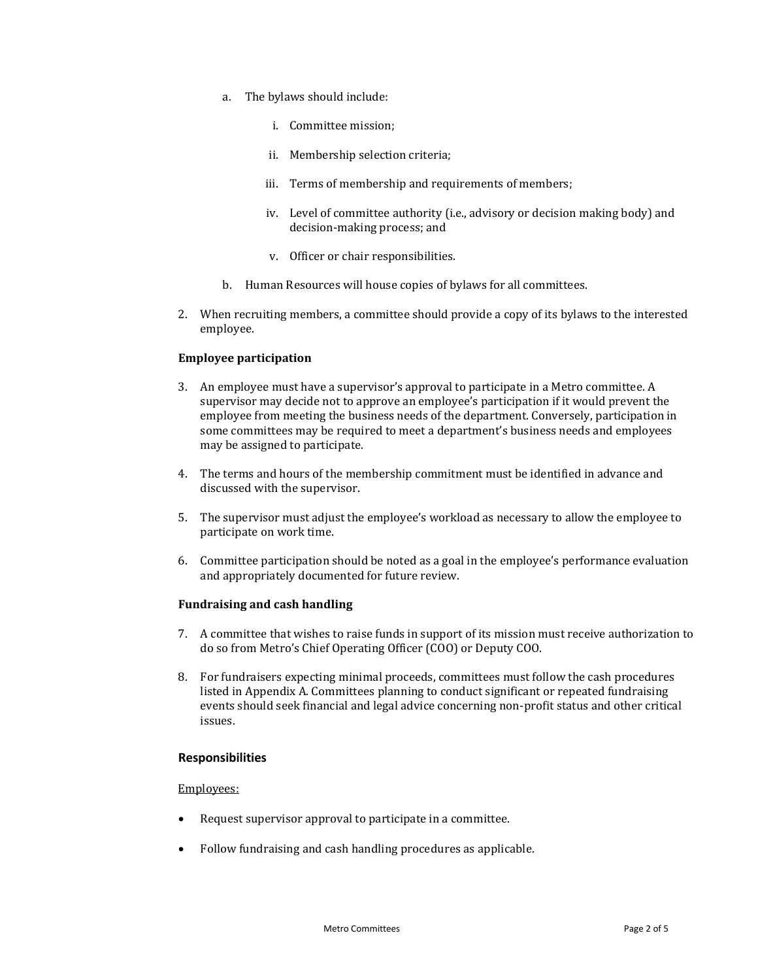- a. The bylaws should include:
	- i. Committee mission;
	- ii. Membership selection criteria;
	- iii. Terms of membership and requirements of members;
	- iv. Level of committee authority (i.e., advisory or decision making body) and decision-making process; and
	- v. Officer or chair responsibilities.
- b. Human Resources will house copies of bylaws for all committees.
- 2. When recruiting members, a committee should provide a copy of its bylaws to the interested employee.

#### **Employee participation**

- 3. An employee must have a supervisor's approval to participate in a Metro committee. A supervisor may decide not to approve an employee's participation if it would prevent the employee from meeting the business needs of the department. Conversely, participation in some committees may be required to meet a department's business needs and employees may be assigned to participate.
- 4. The terms and hours of the membership commitment must be identified in advance and discussed with the supervisor.
- 5. The supervisor must adjust the employee's workload as necessary to allow the employee to participate on work time.
- 6. Committee participation should be noted as a goal in the employee's performance evaluation and appropriately documented for future review.

#### **Fundraising and cash handling**

- 7. A committee that wishes to raise funds in support of its mission must receive authorization to do so from Metro's Chief Operating Officer (COO) or Deputy COO.
- 8. For fundraisers expecting minimal proceeds, committees must follow the cash procedures listed in Appendix A. Committees planning to conduct significant or repeated fundraising events should seek financial and legal advice concerning non-profit status and other critical issues.

#### **Responsibilities**

#### Employees:

- Request supervisor approval to participate in a committee.
- Follow fundraising and cash handling procedures as applicable.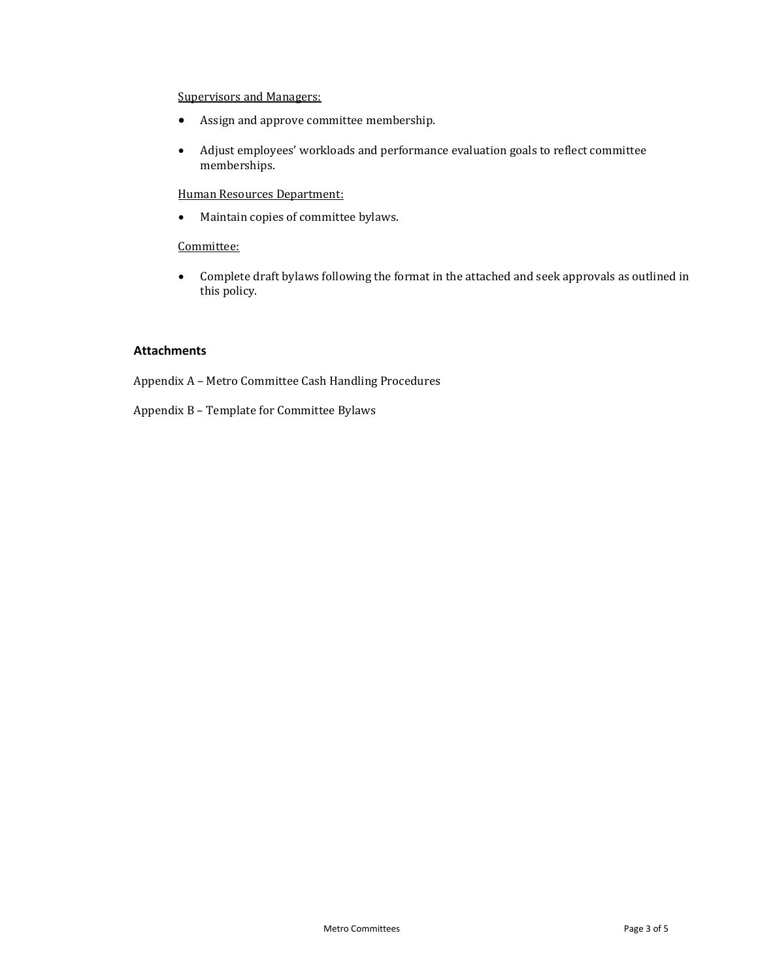### Supervisors and Managers:

- Assign and approve committee membership.
- Adjust employees' workloads and performance evaluation goals to reflect committee memberships.

## Human Resources Department:

Maintain copies of committee bylaws.

### Committee:

 Complete draft bylaws following the format in the attached and seek approvals as outlined in this policy.

### **Attachments**

Appendix A – Metro Committee Cash Handling Procedures

Appendix B – Template for Committee Bylaws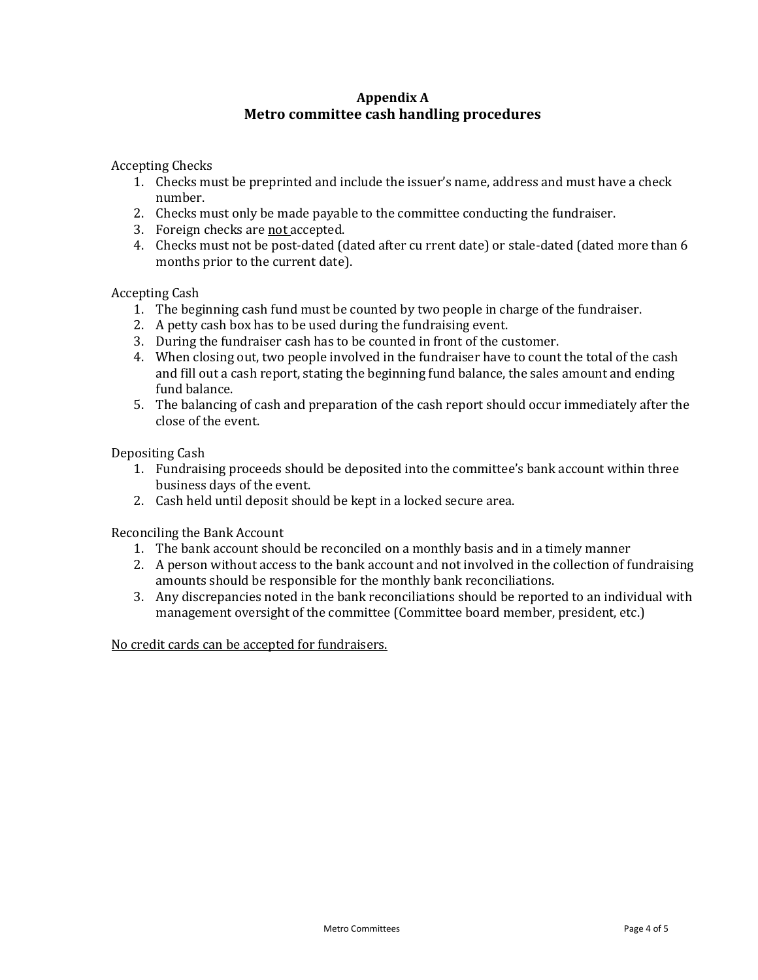# **Appendix A Metro committee cash handling procedures**

Accepting Checks

- 1. Checks must be preprinted and include the issuer's name, address and must have a check number.
- 2. Checks must only be made payable to the committee conducting the fundraiser.
- 3. Foreign checks are not accepted.
- 4. Checks must not be post-dated (dated after cu rrent date) or stale-dated (dated more than 6 months prior to the current date).

Accepting Cash

- 1. The beginning cash fund must be counted by two people in charge of the fundraiser.
- 2. A petty cash box has to be used during the fundraising event.
- 3. During the fundraiser cash has to be counted in front of the customer.
- 4. When closing out, two people involved in the fundraiser have to count the total of the cash and fill out a cash report, stating the beginning fund balance, the sales amount and ending fund balance.
- 5. The balancing of cash and preparation of the cash report should occur immediately after the close of the event.

Depositing Cash

- 1. Fundraising proceeds should be deposited into the committee's bank account within three business days of the event.
- 2. Cash held until deposit should be kept in a locked secure area.

Reconciling the Bank Account

- 1. The bank account should be reconciled on a monthly basis and in a timely manner
- 2. A person without access to the bank account and not involved in the collection of fundraising amounts should be responsible for the monthly bank reconciliations.
- 3. Any discrepancies noted in the bank reconciliations should be reported to an individual with management oversight of the committee (Committee board member, president, etc.)

No credit cards can be accepted for fundraisers.